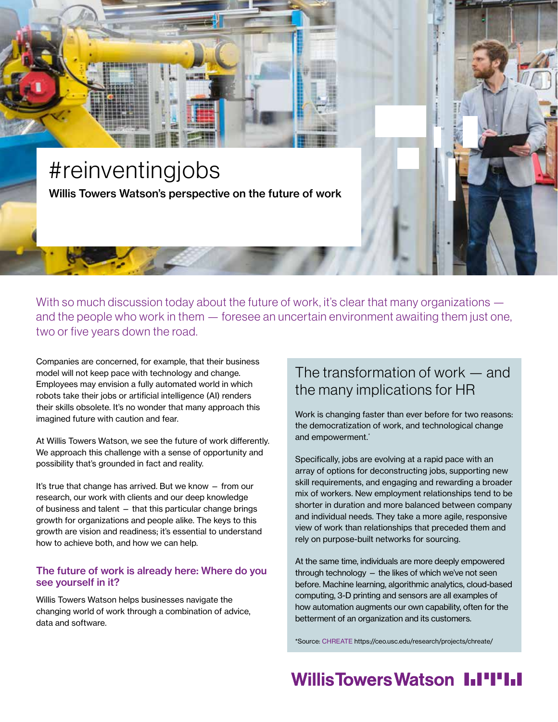# #reinventingjobs Willis Towers Watson's perspective on the future of work

With so much discussion today about the future of work, it's clear that many organizations and the people who work in them — foresee an uncertain environment awaiting them just one, two or five years down the road.

Companies are concerned, for example, that their business model will not keep pace with technology and change. Employees may envision a fully automated world in which robots take their jobs or artificial intelligence (AI) renders their skills obsolete. It's no wonder that many approach this imagined future with caution and fear.

At Willis Towers Watson, we see the future of work differently. We approach this challenge with a sense of opportunity and possibility that's grounded in fact and reality.

It's true that change has arrived. But we know — from our research, our work with clients and our deep knowledge of business and talent — that this particular change brings growth for organizations and people alike. The keys to this growth are vision and readiness; it's essential to understand how to achieve both, and how we can help.

#### The future of work is already here: Where do you see yourself in it?

Willis Towers Watson helps businesses navigate the changing world of work through a combination of advice, data and software.

### The transformation of work — and the many implications for HR

Work is changing faster than ever before for two reasons: the democratization of work, and technological change and empowerment.<sup>\*</sup>

Specifically, jobs are evolving at a rapid pace with an array of options for deconstructing jobs, supporting new skill requirements, and engaging and rewarding a broader mix of workers. New employment relationships tend to be shorter in duration and more balanced between company and individual needs. They take a more agile, responsive view of work than relationships that preceded them and rely on purpose-built networks for sourcing.

At the same time, individuals are more deeply empowered through technology — the likes of which we've not seen before. Machine learning, algorithmic analytics, cloud-based computing, 3-D printing and sensors are all examples of how automation augments our own capability, often for the betterment of an organization and its customers.

\*Source: [CHREATE](https://ceo.usc.edu/research/projects/chreate/) https://ceo.usc.edu/research/projects/chreate/

## Willis Towers Watson I.I'I'I.I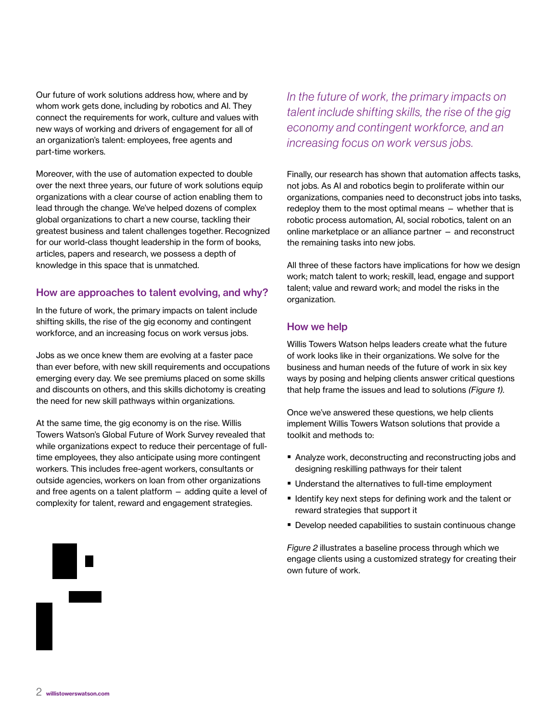Our future of work solutions address how, where and by whom work gets done, including by robotics and AI. They connect the requirements for work, culture and values with new ways of working and drivers of engagement for all of an organization's talent: employees, free agents and part-time workers.

Moreover, with the use of automation expected to double over the next three years, our future of work solutions equip organizations with a clear course of action enabling them to lead through the change. We've helped dozens of complex global organizations to chart a new course, tackling their greatest business and talent challenges together. Recognized for our world-class thought leadership in the form of books, articles, papers and research, we possess a depth of knowledge in this space that is unmatched.

#### How are approaches to talent evolving, and why?

In the future of work, the primary impacts on talent include shifting skills, the rise of the gig economy and contingent workforce, and an increasing focus on work versus jobs.

Jobs as we once knew them are evolving at a faster pace than ever before, with new skill requirements and occupations emerging every day. We see premiums placed on some skills and discounts on others, and this skills dichotomy is creating the need for new skill pathways within organizations.

At the same time, the gig economy is on the rise. Willis Towers Watson's Global Future of Work Survey revealed that while organizations expect to reduce their percentage of fulltime employees, they also anticipate using more contingent workers. This includes free-agent workers, consultants or outside agencies, workers on loan from other organizations and free agents on a talent platform — adding quite a level of complexity for talent, reward and engagement strategies.

*In the future of work, the primary impacts on talent include shifting skills, the rise of the gig economy and contingent workforce, and an increasing focus on work versus jobs.* 

Finally, our research has shown that automation affects tasks, not jobs. As AI and robotics begin to proliferate within our organizations, companies need to deconstruct jobs into tasks, redeploy them to the most optimal means — whether that is robotic process automation, AI, social robotics, talent on an online marketplace or an alliance partner — and reconstruct the remaining tasks into new jobs.

All three of these factors have implications for how we design work; match talent to work; reskill, lead, engage and support talent; value and reward work; and model the risks in the organization.

#### How we help

Willis Towers Watson helps leaders create what the future of work looks like in their organizations. We solve for the business and human needs of the future of work in six key ways by posing and helping clients answer critical questions that help frame the issues and lead to solutions *(Figure 1).*

Once we've answered these questions, we help clients implement Willis Towers Watson solutions that provide a toolkit and methods to:

- Analyze work, deconstructing and reconstructing jobs and designing reskilling pathways for their talent
- Understand the alternatives to full-time employment
- $\blacksquare$  Identify key next steps for defining work and the talent or reward strategies that support it
- Develop needed capabilities to sustain continuous change

*Figure 2* illustrates a baseline process through which we engage clients using a customized strategy for creating their own future of work.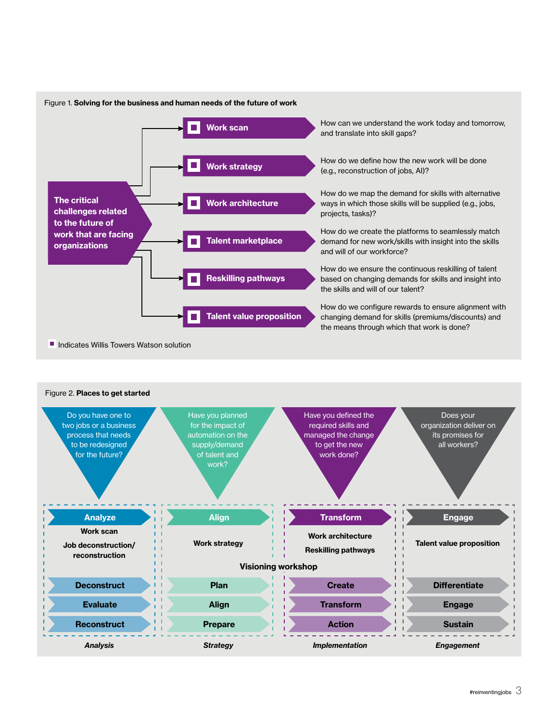